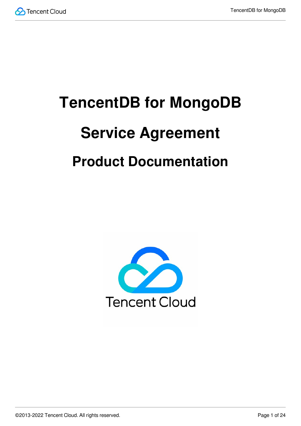

# **TencentDB for MongoDB Service Agreement Product Documentation**

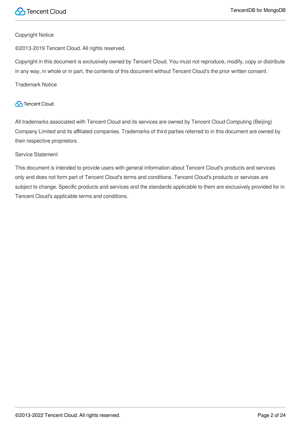

#### Copyright Notice

©2013-2019 Tencent Cloud. All rights reserved.

Copyright in this document is exclusively owned by Tencent Cloud. You must not reproduce, modify, copy or distribute in any way, in whole or in part, the contents of this document without Tencent Cloud's the prior written consent.

Trademark Notice

#### **C** Tencent Cloud

All trademarks associated with Tencent Cloud and its services are owned by Tencent Cloud Computing (Beijing) Company Limited and its affiliated companies. Trademarks of third parties referred to in this document are owned by their respective proprietors.

#### Service Statement

This document is intended to provide users with general information about Tencent Cloud's products and services only and does not form part of Tencent Cloud's terms and conditions. Tencent Cloud's products or services are subject to change. Specific products and services and the standards applicable to them are exclusively provided for in Tencent Cloud's applicable terms and conditions.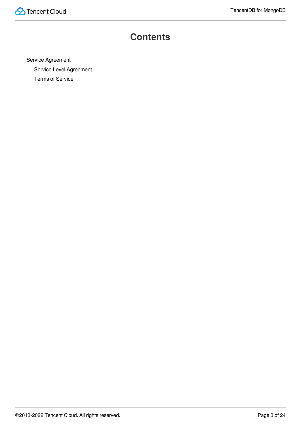

### **Contents**

Service [Agreement](#page-3-0) Service Level [Agreement](#page-3-1) Terms of [Service](#page-5-0)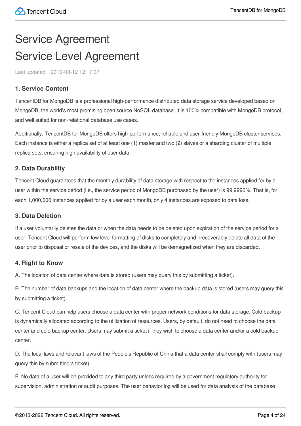# <span id="page-3-1"></span><span id="page-3-0"></span>Service Agreement Service Level Agreement

Last updated:2019-08-12 12:17:37

#### **1. Service Content**

TencentDB for MongoDB is a professional high-performance distributed data storage service developed based on MongoDB, the world's most promising open source NoSQL database. It is 100% compatible with MongoDB protocol, and well suited for non-relational database use cases.

Additionally, TencentDB for MongoDB offers high-performance, reliable and user-friendly MongoDB cluster services. Each instance is either a replica set of at least one (1) master and two (2) slaves or a sharding cluster of multiple replica sets, ensuring high availability of user data.

#### **2. Data Durability**

Tencent Cloud guarantees that the monthly durability of data storage with respect to the instances applied for by a user within the service period (i.e., the service period of MongoDB purchased by the user) is 99.9996%. That is, for each 1,000,000 instances applied for by a user each month, only 4 instances are exposed to data loss.

#### **3. Data Deletion**

If a user voluntarily deletes the data or when the data needs to be deleted upon expiration of the service period for a user, Tencent Cloud will perform low level formatting of disks to completely and irrecoverably delete all data of the user prior to disposal or resale of the devices, and the disks will be demagnetized when they are discarded.

#### **4. Right to Know**

A. The location of data center where data is stored (users may query this by submitting a ticket).

B. The number of data backups and the location of data center where the backup data is stored (users may query this by submitting a ticket).

C. Tencent Cloud can help users choose a data center with proper network conditions for data storage. Cold backup is dynamically allocated according to the utilization of resources. Users, by default, do not need to choose the data center and cold backup center. Users may submit a ticket if they wish to choose a data center and/or a cold backup center.

D. The local laws and relevant laws of the People's Republic of China that a data center shall comply with (users may query this by submitting a ticket).

E. No data of a user will be provided to any third party unless required by a government regulatory authority for supervision, administration or audit purposes. The user behavior log will be used for data analysis of the database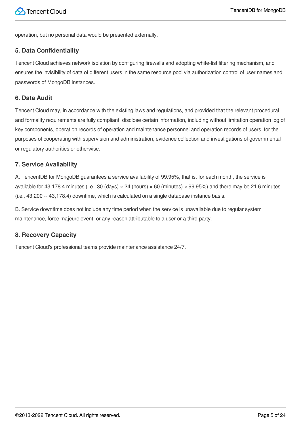operation, but no personal data would be presented externally.

#### **5. Data Confidentiality**

Tencent Cloud achieves network isolation by configuring firewalls and adopting white-list filtering mechanism, and ensures the invisibility of data of different users in the same resource pool via authorization control of user names and passwords of MongoDB instances.

#### **6. Data Audit**

Tencent Cloud may, in accordance with the existing laws and regulations, and provided that the relevant procedural and formality requirements are fully compliant, disclose certain information, including without limitation operation log of key components, operation records of operation and maintenance personnel and operation records of users, for the purposes of cooperating with supervision and administration, evidence collection and investigations of governmental or regulatory authorities or otherwise.

#### **7. Service Availability**

A. TencentDB for MongoDB guarantees a service availability of 99.95%, that is, for each month, the service is available for 43,178.4 minutes (i.e., 30 (days)  $\times$  24 (hours)  $\times$  60 (minutes)  $\times$  99.95%) and there may be 21.6 minutes (i.e., 43,200 -- 43,178.4) downtime, which is calculated on a single database instance basis.

B. Service downtime does not include any time period when the service is unavailable due to regular system maintenance, force majeure event, or any reason attributable to a user or a third party.

#### **8. Recovery Capacity**

Tencent Cloud's professional teams provide maintenance assistance 24/7.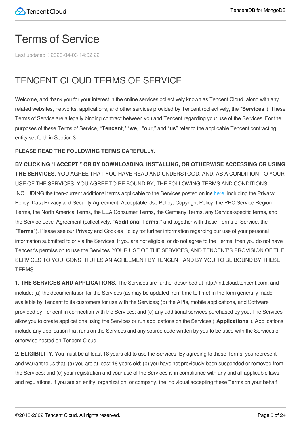# <span id="page-5-0"></span>Terms of Service

Last updated:2020-04-03 14:02:22

# TENCENT CLOUD TERMS OF SERVICE

Welcome, and thank you for your interest in the online services collectively known as Tencent Cloud, along with any related websites, networks, applications, and other services provided by Tencent (collectively, the "**Services**"). These Terms of Service are a legally binding contract between you and Tencent regarding your use of the Services. For the purposes of these Terms of Service, "**Tencent**," "**we**," "**our**," and "**us**" refer to the applicable Tencent contracting entity set forth in Section 3.

#### **PLEASE READ THE FOLLOWING TERMS CAREFULLY.**

**BY CLICKING** "**I ACCEPT**," **OR BY DOWNLOADING, INSTALLING, OR OTHERWISE ACCESSING OR USING THE SERVICES**, YOU AGREE THAT YOU HAVE READ AND UNDERSTOOD, AND, AS A CONDITION TO YOUR USE OF THE SERVICES, YOU AGREE TO BE BOUND BY, THE FOLLOWING TERMS AND CONDITIONS, INCLUDING the then-current additional terms applicable to the Services posted online [here](https://intl.cloud.tencent.com/document/product/301?lang=en), including the Privacy Policy, Data Privacy and Security Agreement, Acceptable Use Policy, Copyright Policy, the PRC Service Region Terms, the North America Terms, the EEA Consumer Terms, the Germany Terms, any Service-specific terms, and the Service Level Agreement (collectively, "**Additional Terms**," and together with these Terms of Service, the "**Terms**"). Please see our Privacy and Cookies Policy for further information regarding our use of your personal information submitted to or via the Services. If you are not eligible, or do not agree to the Terms, then you do not have Tencent's permission to use the Services. YOUR USE OF THE SERVICES, AND TENCENT'S PROVISION OF THE SERVICES TO YOU, CONSTITUTES AN AGREEMENT BY TENCENT AND BY YOU TO BE BOUND BY THESE TERMS.

**1. THE SERVICES AND APPLICATIONS**. The Services are further described at http://intl.cloud.tencent.com, and include: (a) the documentation for the Services (as may be updated from time to time) in the form generally made available by Tencent to its customers for use with the Services; (b) the APIs, mobile applications, and Software provided by Tencent in connection with the Services; and (c) any additional services purchased by you. The Services allow you to create applications using the Services or run applications on the Services ("**Applications**"). Applications include any application that runs on the Services and any source code written by you to be used with the Services or otherwise hosted on Tencent Cloud.

**2. ELIGIBILITY.** You must be at least 18 years old to use the Services. By agreeing to these Terms, you represent and warrant to us that: (a) you are at least 18 years old; (b) you have not previously been suspended or removed from the Services; and (c) your registration and your use of the Services is in compliance with any and all applicable laws and regulations. If you are an entity, organization, or company, the individual accepting these Terms on your behalf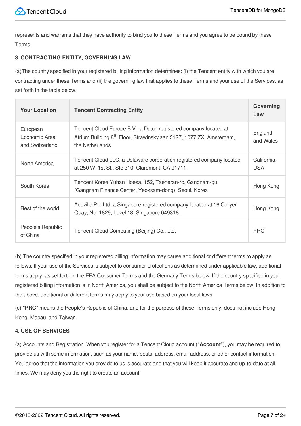represents and warrants that they have authority to bind you to these Terms and you agree to be bound by these Terms.

#### **3. CONTRACTING ENTITY; GOVERNING LAW**

(a)The country specified in your registered billing information determines: (i) the Tencent entity with which you are contracting under these Terms and (ii) the governing law that applies to these Terms and your use of the Services, as set forth in the table below.

| <b>Your Location</b>                         | <b>Tencent Contracting Entity</b>                                                                                                                                       | Governing<br>Law          |
|----------------------------------------------|-------------------------------------------------------------------------------------------------------------------------------------------------------------------------|---------------------------|
| European<br>Economic Area<br>and Switzerland | Tencent Cloud Europe B.V., a Dutch registered company located at<br>Atrium Building, 8 <sup>th</sup> Floor, Strawinskylaan 3127, 1077 ZX, Amsterdam,<br>the Netherlands | England<br>and Wales      |
| North America                                | Tencent Cloud LLC, a Delaware corporation registered company located<br>at 250 W. 1st St., Ste 310, Claremont, CA 91711.                                                | California,<br><b>USA</b> |
| South Korea                                  | Tencent Korea Yuhan Hoesa, 152, Taeheran-ro, Gangnam-gu<br>(Gangnam Finance Center, Yeoksam-dong), Seoul, Korea                                                         | Hong Kong                 |
| Rest of the world                            | Aceville Pte Ltd, a Singapore-registered company located at 16 Collyer<br>Quay, No. 1829, Level 18, Singapore 049318.                                                   | Hong Kong                 |
| People's Republic<br>of China                | Tencent Cloud Computing (Beijing) Co., Ltd.                                                                                                                             | <b>PRC</b>                |

(b) The country specified in your registered billing information may cause additional or different terms to apply as follows. If your use of the Services is subject to consumer protections as determined under applicable law, additional terms apply, as set forth in the EEA Consumer Terms and the Germany Terms below. If the country specified in your registered billing information is in North America, you shall be subject to the North America Terms below. In addition to the above, additional or different terms may apply to your use based on your local laws.

(c) "**PRC**" means the People's Republic of China, and for the purpose of these Terms only, does not include Hong Kong, Macau, and Taiwan.

#### **4. USE OF SERVICES**

(a) Accounts and Registration. When you register for a Tencent Cloud account ("**Account**"), you may be required to provide us with some information, such as your name, postal address, email address, or other contact information. You agree that the information you provide to us is accurate and that you will keep it accurate and up-to-date at all times. We may deny you the right to create an account.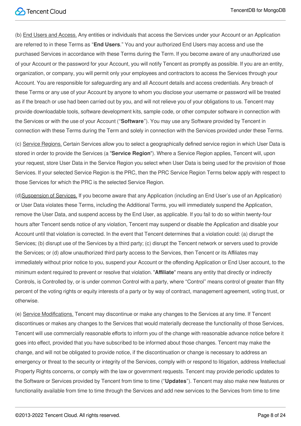(b) End Users and Access. Any entities or individuals that access the Services under your Account or an Application are referred to in these Terms as "**End Users**." You and your authorized End Users may access and use the purchased Services in accordance with these Terms during the Term. If you become aware of any unauthorized use of your Account or the password for your Account, you will notify Tencent as promptly as possible. If you are an entity, organization, or company, you will permit only your employees and contractors to access the Services through your Account. You are responsible for safeguarding any and all Account details and access credentials. Any breach of these Terms or any use of your Account by anyone to whom you disclose your username or password will be treated as if the breach or use had been carried out by you, and will not relieve you of your obligations to us. Tencent may provide downloadable tools, software development kits, sample code, or other computer software in connection with the Services or with the use of your Account ("**Software**"). You may use any Software provided by Tencent in connection with these Terms during the Term and solely in connection with the Services provided under these Terms.

(c) Service Regions. Certain Services allow you to select a geographically defined service region in which User Data is stored in order to provide the Services (a "**Service Region**"). Where a Service Region applies, Tencent will, upon your request, store User Data in the Service Region you select when User Data is being used for the provision of those Services. If your selected Service Region is the PRC, then the PRC Service Region Terms below apply with respect to those Services for which the PRC is the selected Service Region.

(d)Suspension of Services. If you become aware that any Application (including an End User's use of an Application) or User Data violates these Terms, including the Additional Terms, you will immediately suspend the Application, remove the User Data, and suspend access by the End User, as applicable. If you fail to do so within twenty-four hours after Tencent sends notice of any violation, Tencent may suspend or disable the Application and disable your Account until that violation is corrected. In the event that Tencent determines that a violation could: (a) disrupt the Services; (b) disrupt use of the Services by a third party; (c) disrupt the Tencent network or servers used to provide the Services; or (d) allow unauthorized third party access to the Services, then Tencent or its Affiliates may immediately without prior notice to you, suspend your Account or the offending Application or End User account, to the minimum extent required to prevent or resolve that violation. "**Affiliate**" means any entity that directly or indirectly Controls, is Controlled by, or is under common Control with a party, where "Control" means control of greater than fifty percent of the voting rights or equity interests of a party or by way of contract, management agreement, voting trust, or otherwise.

(e) Service Modifications. Tencent may discontinue or make any changes to the Services at any time. If Tencent discontinues or makes any changes to the Services that would materially decrease the functionality of those Services, Tencent will use commercially reasonable efforts to inform you of the change with reasonable advance notice before it goes into effect, provided that you have subscribed to be informed about those changes. Tencent may make the change, and will not be obligated to provide notice, if the discontinuation or change is necessary to address an emergency or threat to the security or integrity of the Services, comply with or respond to litigation, address Intellectual Property Rights concerns, or comply with the law or government requests. Tencent may provide periodic updates to the Software or Services provided by Tencent from time to time ("**Updates**"). Tencent may also make new features or functionality available from time to time through the Services and add new services to the Services from time to time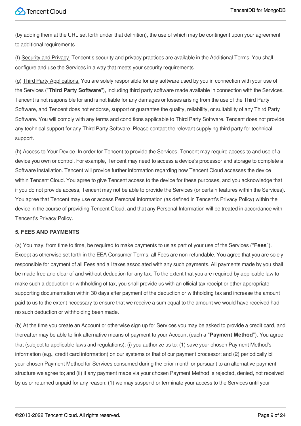(by adding them at the URL set forth under that definition), the use of which may be contingent upon your agreement to additional requirements.

(f) Security and Privacy. Tencent's security and privacy practices are available in the Additional Terms. You shall configure and use the Services in a way that meets your security requirements.

(g) Third Party Applications. You are solely responsible for any software used by you in connection with your use of the Services ("**Third Party Software**"), including third party software made available in connection with the Services. Tencent is not responsible for and is not liable for any damages or losses arising from the use of the Third Party Software, and Tencent does not endorse, support or guarantee the quality, reliability, or suitability of any Third Party Software. You will comply with any terms and conditions applicable to Third Party Software. Tencent does not provide any technical support for any Third Party Software. Please contact the relevant supplying third party for technical support.

(h) Access to Your Device. In order for Tencent to provide the Services, Tencent may require access to and use of a device you own or control. For example, Tencent may need to access a device's processor and storage to complete a Software installation. Tencent will provide further information regarding how Tencent Cloud accesses the device within Tencent Cloud. You agree to give Tencent access to the device for these purposes, and you acknowledge that if you do not provide access, Tencent may not be able to provide the Services (or certain features within the Services). You agree that Tencent may use or access Personal Information (as defined in Tencent's Privacy Policy) within the device in the course of providing Tencent Cloud, and that any Personal Information will be treated in accordance with Tencent's Privacy Policy.

#### **5. FEES AND PAYMENTS**

(a) You may, from time to time, be required to make payments to us as part of your use of the Services ("**Fees**"). Except as otherwise set forth in the EEA Consumer Terms, all Fees are non-refundable. You agree that you are solely responsible for payment of all Fees and all taxes associated with any such payments. All payments made by you shall be made free and clear of and without deduction for any tax. To the extent that you are required by applicable law to make such a deduction or withholding of tax, you shall provide us with an official tax receipt or other appropriate supporting documentation within 30 days after payment of the deduction or withholding tax and increase the amount paid to us to the extent necessary to ensure that we receive a sum equal to the amount we would have received had no such deduction or withholding been made.

(b) At the time you create an Account or otherwise sign up for Services you may be asked to provide a credit card, and thereafter may be able to link alternative means of payment to your Account (each a "**Payment Method**"). You agree that (subject to applicable laws and regulations): (i) you authorize us to: (1) save your chosen Payment Method's information (e.g., credit card information) on our systems or that of our payment processor; and (2) periodically bill your chosen Payment Method for Services consumed during the prior month or pursuant to an alternative payment structure we agree to; and (ii) if any payment made via your chosen Payment Method is rejected, denied, not received by us or returned unpaid for any reason: (1) we may suspend or terminate your access to the Services until your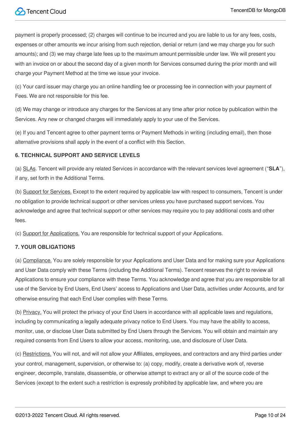payment is properly processed; (2) charges will continue to be incurred and you are liable to us for any fees, costs, expenses or other amounts we incur arising from such rejection, denial or return (and we may charge you for such amounts); and (3) we may charge late fees up to the maximum amount permissible under law. We will present you with an invoice on or about the second day of a given month for Services consumed during the prior month and will charge your Payment Method at the time we issue your invoice.

(c) Your card issuer may charge you an online handling fee or processing fee in connection with your payment of Fees. We are not responsible for this fee.

(d) We may change or introduce any charges for the Services at any time after prior notice by publication within the Services. Any new or changed charges will immediately apply to your use of the Services.

(e) If you and Tencent agree to other payment terms or Payment Methods in writing (including email), then those alternative provisions shall apply in the event of a conflict with this Section.

#### **6. TECHNICAL SUPPORT AND SERVICE LEVELS**

(a) SLAs. Tencent will provide any related Services in accordance with the relevant services level agreement ("**SLA**"), if any, set forth in the Additional Terms.

(b) Support for Services. Except to the extent required by applicable law with respect to consumers, Tencent is under no obligation to provide technical support or other services unless you have purchased support services. You acknowledge and agree that technical support or other services may require you to pay additional costs and other fees.

(c) Support for Applications. You are responsible for technical support of your Applications.

#### **7. YOUR OBLIGATIONS**

(a) Compliance. You are solely responsible for your Applications and User Data and for making sure your Applications and User Data comply with these Terms (including the Additional Terms). Tencent reserves the right to review all Applications to ensure your compliance with these Terms. You acknowledge and agree that you are responsible for all use of the Service by End Users, End Users' access to Applications and User Data, activities under Accounts, and for otherwise ensuring that each End User complies with these Terms.

(b) Privacy. You will protect the privacy of your End Users in accordance with all applicable laws and regulations, including by communicating a legally adequate privacy notice to End Users. You may have the ability to access, monitor, use, or disclose User Data submitted by End Users through the Services. You will obtain and maintain any required consents from End Users to allow your access, monitoring, use, and disclosure of User Data.

(c) Restrictions. You will not, and will not allow your Affiliates, employees, and contractors and any third parties under your control, management, supervision, or otherwise to: (a) copy, modify, create a derivative work of, reverse engineer, decompile, translate, disassemble, or otherwise attempt to extract any or all of the source code of the Services (except to the extent such a restriction is expressly prohibited by applicable law, and where you are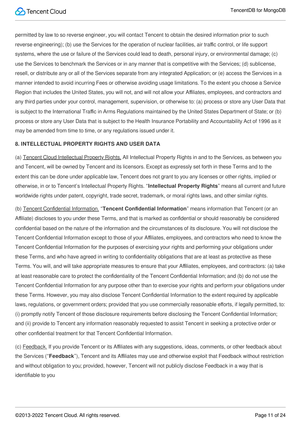permitted by law to so reverse engineer, you will contact Tencent to obtain the desired information prior to such reverse engineering); (b) use the Services for the operation of nuclear facilities, air traffic control, or life support systems, where the use or failure of the Services could lead to death, personal injury, or environmental damage; (c) use the Services to benchmark the Services or in any manner that is competitive with the Services; (d) sublicense, resell, or distribute any or all of the Services separate from any integrated Application; or (e) access the Services in a manner intended to avoid incurring Fees or otherwise avoiding usage limitations. To the extent you choose a Service Region that includes the United States, you will not, and will not allow your Affiliates, employees, and contractors and any third parties under your control, management, supervision, or otherwise to: (a) process or store any User Data that is subject to the International Traffic in Arms Regulations maintained by the United States Department of State; or (b) process or store any User Data that is subject to the Health Insurance Portability and Accountability Act of 1996 as it may be amended from time to time, or any regulations issued under it.

#### **8. INTELLECTUAL PROPERTY RIGHTS AND USER DATA**

(a) Tencent Cloud Intellectual Property Rights. All Intellectual Property Rights in and to the Services, as between you and Tencent, will be owned by Tencent and its licensors. Except as expressly set forth in these Terms and to the extent this can be done under applicable law, Tencent does not grant to you any licenses or other rights, implied or otherwise, in or to Tencent's Intellectual Property Rights. "**Intellectual Property Rights**" means all current and future worldwide rights under patent, copyright, trade secret, trademark, or moral rights laws, and other similar rights.

(b) Tencent Confidential Information. "**Tencent Confidential Information**" means information that Tencent (or an Affiliate) discloses to you under these Terms, and that is marked as confidential or should reasonably be considered confidential based on the nature of the information and the circumstances of its disclosure. You will not disclose the Tencent Confidential Information except to those of your Affiliates, employees, and contractors who need to know the Tencent Confidential Information for the purposes of exercising your rights and performing your obligations under these Terms, and who have agreed in writing to confidentiality obligations that are at least as protective as these Terms. You will, and will take appropriate measures to ensure that your Affiliates, employees, and contractors: (a) take at least reasonable care to protect the confidentiality of the Tencent Confidential Information; and (b) do not use the Tencent Confidential Information for any purpose other than to exercise your rights and perform your obligations under these Terms. However, you may also disclose Tencent Confidential Information to the extent required by applicable laws, regulations, or government orders; provided that you use commercially reasonable efforts, if legally permitted, to: (i) promptly notify Tencent of those disclosure requirements before disclosing the Tencent Confidential Information; and (ii) provide to Tencent any information reasonably requested to assist Tencent in seeking a protective order or other confidential treatment for that Tencent Confidential Information.

(c) Feedback. If you provide Tencent or its Affiliates with any suggestions, ideas, comments, or other feedback about the Services ("**Feedback**"), Tencent and its Affiliates may use and otherwise exploit that Feedback without restriction and without obligation to you; provided, however, Tencent will not publicly disclose Feedback in a way that is identifiable to you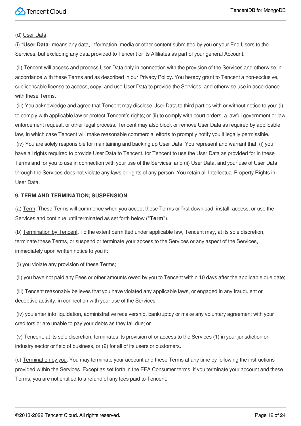(d) User Data.

(i) "**User Data**" means any data, information, media or other content submitted by you or your End Users to the Services, but excluding any data provided to Tencent or its Affiliates as part of your general Account.

(ii) Tencent will access and process User Data only in connection with the provision of the Services and otherwise in accordance with these Terms and as described in our Privacy Policy. You hereby grant to Tencent a non-exclusive, sublicensable license to access, copy, and use User Data to provide the Services, and otherwise use in accordance with these Terms.

(iii) You acknowledge and agree that Tencent may disclose User Data to third parties with or without notice to you: (i) to comply with applicable law or protect Tencent's rights; or (ii) to comply with court orders, a lawful government or law enforcement request, or other legal process. Tencent may also block or remove User Data as required by applicable law, in which case Tencent will make reasonable commercial efforts to promptly notify you if legally permissible..

(iv) You are solely responsible for maintaining and backing up User Data. You represent and warrant that: (i) you have all rights required to provide User Data to Tencent, for Tencent to use the User Data as provided for in these Terms and for you to use in connection with your use of the Services; and (ii) User Data, and your use of User Data through the Services does not violate any laws or rights of any person. You retain all Intellectual Property Rights in User Data.

#### **9. TERM AND TERMINATION; SUSPENSION**

(a) Term. These Terms will commence when you accept these Terms or first download, install, access, or use the Services and continue until terminated as set forth below ("**Term**").

(b) Termination by Tencent. To the extent permitted under applicable law, Tencent may, at its sole discretion, terminate these Terms, or suspend or terminate your access to the Services or any aspect of the Services, immediately upon written notice to you if:

(i) you violate any provision of these Terms;

(ii) you have not paid any Fees or other amounts owed by you to Tencent within 10 days after the applicable due date;

(iii) Tencent reasonably believes that you have violated any applicable laws, or engaged in any fraudulent or deceptive activity, in connection with your use of the Services;

(iv) you enter into liquidation, administrative receivership, bankruptcy or make any voluntary agreement with your creditors or are unable to pay your debts as they fall due; or

(v) Tencent, at its sole discretion, terminates its provision of or access to the Services (1) in your jurisdiction or industry sector or field of business, or (2) for all of its users or customers.

(c) Termination by you. You may terminate your account and these Terms at any time by following the instructions provided within the Services. Except as set forth in the EEA Consumer terms, if you terminate your account and these Terms, you are not entitled to a refund of any fees paid to Tencent.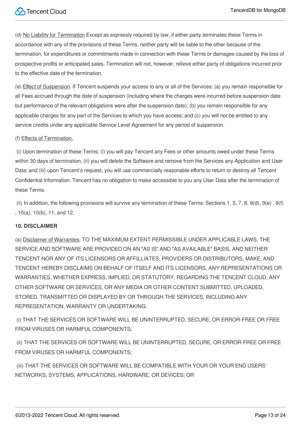(d) No Liability for Termination.Except as expressly required by law, if either party terminates these Terms in accordance with any of the provisions of these Terms, neither party will be liable to the other because of the termination, for expenditures or commitments made in connection with these Terms or damages caused by the loss of prospective profits or anticipated sales. Termination will not, however, relieve either party of obligations incurred prior to the effective date of the termination.

(e) Effect of Suspension. If Tencent suspends your access to any or all of the Services: (a) you remain responsible for all Fees accrued through the date of suspension (including where the charges were incurred before suspension date but performance of the relevant obligations were after the suspension date); (b) you remain responsible for any applicable charges for any part of the Services to which you have access; and (c) you will not be entitled to any service credits under any applicable Service Level Agreement for any period of suspension.

#### (f) Effects of Termination.

(i) Upon termination of these Terms: (i) you will pay Tencent any Fees or other amounts owed under these Terms within 30 days of termination, (ii) you will delete the Software and remove from the Services any Application and User Data; and (iii) upon Tencent's request, you will use commercially reasonable efforts to return or destroy all Tencent Confidential Information. Tencent has no obligation to make accessible to you any User Data after the termination of these Terms.

(ii) In addition, the following provisions will survive any termination of these Terms: Sections 1, 5, 7, 8, 9(d), 9(e), 9(f) , 10(a), 10(b), 11, and 12.

#### **10. DISCLAIMER**

(a) Disclaimer of Warranties. TO THE MAXIMUM EXTENT PERMISSIBLE UNDER APPLICABLE LAWS, THE SERVICE AND SOFTWARE ARE PROVIDED ON AN "AS IS" AND "AS AVAILABLE" BASIS, AND NEITHER TENCENT NOR ANY OF ITS LICENSORS OR AFFILLIATES, PROVIDERS OR DISTRIBUTORS, MAKE, AND TENCENT HEREBY DISCLAIMS ON BEHALF OF ITSELF AND ITS LICENSORS, ANY REPRESENTATIONS OR WARRANTIES, WHETHER EXPRESS, IMPLIED, OR STATUTORY, REGARDING THE TENCENT CLOUD, ANY OTHER SOFTWARE OR SERVICES, OR ANY MEDIA OR OTHER CONTENT SUBMITTED, UPLOADED, STORED, TRANSMITTED OR DISPLAYED BY OR THROUGH THE SERVICES, INCLUDING ANY REPRESENTATION, WARRANTY OR UNDERTAKING:

(i) THAT THE SERVICES OR SOFTWARE WILL BE UNINTERRUPTED, SECURE, OR ERROR-FREE OR FREE FROM VIRUSES OR HARMFUL COMPONENTS;

(ii) THAT THE SERVICES OR SOFTWARE WILL BE UNINTERRUPTED, SECURE, OR ERROR-FREE OR FREE FROM VIRUSES OR HARMFUL COMPONENTS;

(iii) THAT THE SERVICES OR SOFTWARE WILL BE COMPATIBLE WITH YOUR OR YOUR END USERS' NETWORKS, SYSTEMS, APPLICATIONS, HARDWARE, OR DEVICES; OR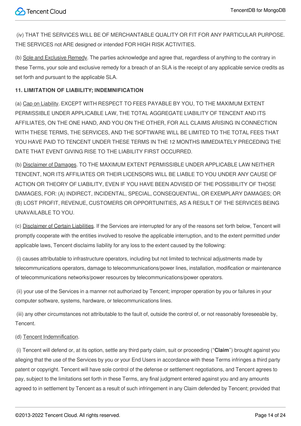(iv) THAT THE SERVICES WILL BE OF MERCHANTABLE QUALITY OR FIT FOR ANY PARTICULAR PURPOSE. THE SERVICES not ARE designed or intended FOR HIGH RISK ACTIVITIES.

(b) Sole and Exclusive Remedy. The parties acknowledge and agree that, regardless of anything to the contrary in these Terms, your sole and exclusive remedy for a breach of an SLA is the receipt of any applicable service credits as set forth and pursuant to the applicable SLA.

#### **11. LIMITATION OF LIABILITY; INDEMNIFICATION**

(a) Cap on Liability. EXCEPT WITH RESPECT TO FEES PAYABLE BY YOU, TO THE MAXIMUM EXTENT PERMISSIBLE UNDER APPLICABLE LAW, THE TOTAL AGGREGATE LIABILITY OF TENCENT AND ITS AFFILIATES, ON THE ONE HAND, AND YOU ON THE OTHER, FOR ALL CLAIMS ARISING IN CONNECTION WITH THESE TERMS, THE SERVICES, AND THE SOFTWARE WILL BE LIMITED TO THE TOTAL FEES THAT YOU HAVE PAID TO TENCENT UNDER THESE TERMS IN THE 12 MONTHS IMMEDIATELY PRECEDING THE DATE THAT EVENT GIVING RISE TO THE LIABILITY FIRST OCCURRED.

(b) Disclaimer of Damages. TO THE MAXIMUM EXTENT PERMISSIBLE UNDER APPLICABLE LAW NEITHER TENCENT, NOR ITS AFFILIATES OR THEIR LICENSORS WILL BE LIABLE TO YOU UNDER ANY CAUSE OF ACTION OR THEORY OF LIABILITY, EVEN IF YOU HAVE BEEN ADVISED OF THE POSSIBILITY OF THOSE DAMAGES, FOR: (A) INDIRECT, INCIDENTAL, SPECIAL, CONSEQUENTIAL, OR EXEMPLARY DAMAGES; OR (B) LOST PROFIT, REVENUE, CUSTOMERS OR OPPORTUNITIES, AS A RESULT OF THE SERVICES BEING UNAVAILABLE TO YOU.

(c) Disclaimer of Certain Liabilities. If the Services are interrupted for any of the reasons set forth below, Tencent will promptly cooperate with the entities involved to resolve the applicable interruption, and to the extent permitted under applicable laws, Tencent disclaims liability for any loss to the extent caused by the following:

(i) causes attributable to infrastructure operators, including but not limited to technical adjustments made by telecommunications operators, damage to telecommunications/power lines, installation, modification or maintenance of telecommunications networks/power resources by telecommunications/power operators.

(ii) your use of the Services in a manner not authorized by Tencent; improper operation by you or failures in your computer software, systems, hardware, or telecommunications lines.

(iii) any other circumstances not attributable to the fault of, outside the control of, or not reasonably foreseeable by, Tencent.

#### (d) Tencent Indemnification.

(i) Tencent will defend or, at its option, settle any third party claim, suit or proceeding ("**Claim**") brought against you alleging that the use of the Services by you or your End Users in accordance with these Terms infringes a third party patent or copyright. Tencent will have sole control of the defense or settlement negotiations, and Tencent agrees to pay, subject to the limitations set forth in these Terms, any final judgment entered against you and any amounts agreed to in settlement by Tencent as a result of such infringement in any Claim defended by Tencent; provided that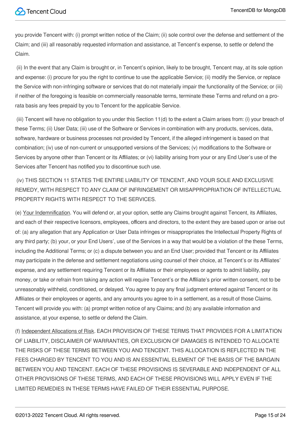you provide Tencent with: (i) prompt written notice of the Claim; (ii) sole control over the defense and settlement of the Claim; and (iii) all reasonably requested information and assistance, at Tencent's expense, to settle or defend the Claim.

(ii) In the event that any Claim is brought or, in Tencent's opinion, likely to be brought, Tencent may, at its sole option and expense: (i) procure for you the right to continue to use the applicable Service; (ii) modify the Service, or replace the Service with non-infringing software or services that do not materially impair the functionality of the Service; or (iii) if neither of the foregoing is feasible on commercially reasonable terms, terminate these Terms and refund on a prorata basis any fees prepaid by you to Tencent for the applicable Service.

(iii) Tencent will have no obligation to you under this Section 11(d) to the extent a Claim arises from: (i) your breach of these Terms; (ii) User Data; (iii) use of the Software or Services in combination with any products, services, data, software, hardware or business processes not provided by Tencent, if the alleged infringement is based on that combination; (iv) use of non-current or unsupported versions of the Services; (v) modifications to the Software or Services by anyone other than Tencent or its Affiliates; or (vi) liability arising from your or any End User's use of the Services after Tencent has notified you to discontinue such use.

(iv) THIS SECTION 11 STATES THE ENTIRE LIABILITY OF TENCENT, AND YOUR SOLE AND EXCLUSIVE REMEDY, WITH RESPECT TO ANY CLAIM OF INFRINGEMENT OR MISAPPROPRIATION OF INTELLECTUAL PROPERTY RIGHTS WITH RESPECT TO THE SERVICES.

(e) Your Indemnification. You will defend or, at your option, settle any Claims brought against Tencent, its Affiliates, and each of their respective licensors, employees, officers and directors, to the extent they are based upon or arise out of: (a) any allegation that any Application or User Data infringes or misappropriates the Intellectual Property Rights of any third party; (b) your, or your End Users', use of the Services in a way that would be a violation of the these Terms, including the Additional Terms; or (c) a dispute between you and an End User; provided that Tencent or its Affiliates may participate in the defense and settlement negotiations using counsel of their choice, at Tencent's or its Affiliates' expense, and any settlement requiring Tencent or its Affiliates or their employees or agents to admit liability, pay money, or take or refrain from taking any action will require Tencent's or the Affiliate's prior written consent, not to be unreasonably withheld, conditioned, or delayed. You agree to pay any final judgment entered against Tencent or its Affiliates or their employees or agents, and any amounts you agree to in a settlement, as a result of those Claims. Tencent will provide you with: (a) prompt written notice of any Claims; and (b) any available information and assistance, at your expense, to settle or defend the Claim.

(f) Independent Allocations of Risk. EACH PROVISION OF THESE TERMS THAT PROVIDES FOR A LIMITATION OF LIABILITY, DISCLAIMER OF WARRANTIES, OR EXCLUSION OF DAMAGES IS INTENDED TO ALLOCATE THE RISKS OF THESE TERMS BETWEEN YOU AND TENCENT. THIS ALLOCATION IS REFLECTED IN THE FEES CHARGED BY TENCENT TO YOU AND IS AN ESSENTIAL ELEMENT OF THE BASIS OF THE BARGAIN BETWEEN YOU AND TENCENT. EACH OF THESE PROVISIONS IS SEVERABLE AND INDEPENDENT OF ALL OTHER PROVISIONS OF THESE TERMS, AND EACH OF THESE PROVISIONS WILL APPLY EVEN IF THE LIMITED REMEDIES IN THESE TERMS HAVE FAILED OF THEIR ESSENTIAL PURPOSE.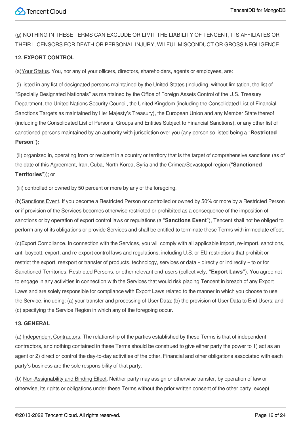(g) NOTHING IN THESE TERMS CAN EXCLUDE OR LIMIT THE LIABILITY OF TENCENT, ITS AFFILIATES OR THEIR LICENSORS FOR DEATH OR PERSONAL INJURY, WILFUL MISCONDUCT OR GROSS NEGLIGENCE.

#### **12. EXPORT CONTROL**

(a)Your Status. You, nor any of your officers, directors, shareholders, agents or employees, are:

(i) listed in any list of designated persons maintained by the United States (including, without limitation, the list of "Specially Designated Nationals" as maintained by the Office of Foreign Assets Control of the U.S. Treasury Department, the United Nations Security Council, the United Kingdom (including the Consolidated List of Financial Sanctions Targets as maintained by Her Majesty's Treasury), the European Union and any Member State thereof (including the Consolidated List of Persons, Groups and Entities Subject to Financial Sanctions), or any other list of sanctioned persons maintained by an authority with jurisdiction over you (any person so listed being a "**Restricted Person");**

(ii) organized in, operating from or resident in a country or territory that is the target of comprehensive sanctions (as of the date of this Agreement, Iran, Cuba, North Korea, Syria and the Crimea/Sevastopol region ("**Sanctioned Territories**")); or

(iii) controlled or owned by 50 percent or more by any of the foregoing.

(b)Sanctions Event. If you become a Restricted Person or controlled or owned by 50% or more by a Restricted Person or if provision of the Services becomes otherwise restricted or prohibited as a consequence of the imposition of sanctions or by operation of export control laws or regulations (a "**Sanctions Event**"), Tencent shall not be obliged to perform any of its obligations or provide Services and shall be entitled to terminate these Terms with immediate effect.

(c)Export Compliance. In connection with the Services, you will comply with all applicable import, re-import, sanctions, anti-boycott, export, and re-export control laws and regulations, including U.S. or EU restrictions that prohibit or restrict the export, reexport or transfer of products, technology, services or data – directly or indirectly – to or for Sanctioned Territories, Restricted Persons, or other relevant end-users (collectively, **"Export Laws"**). You agree not to engage in any activities in connection with the Services that would risk placing Tencent in breach of any Export Laws and are solely responsible for compliance with Export Laws related to the manner in which you choose to use the Service, including: (a) your transfer and processing of User Data; (b) the provision of User Data to End Users; and (c) specifying the Service Region in which any of the foregoing occur.

#### **13. GENERAL**

(a) Independent Contractors. The relationship of the parties established by these Terms is that of independent contractors, and nothing contained in these Terms should be construed to give either party the power to 1) act as an agent or 2) direct or control the day-to-day activities of the other. Financial and other obligations associated with each party's business are the sole responsibility of that party.

(b) Non-Assignability and Binding Effect. Neither party may assign or otherwise transfer, by operation of law or otherwise, its rights or obligations under these Terms without the prior written consent of the other party, except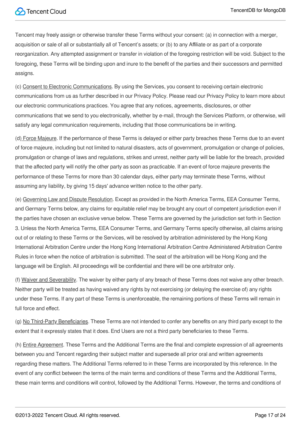Tencent may freely assign or otherwise transfer these Terms without your consent: (a) in connection with a merger, acquisition or sale of all or substantially all of Tencent's assets; or (b) to any Affiliate or as part of a corporate reorganization. Any attempted assignment or transfer in violation of the foregoing restriction will be void. Subject to the foregoing, these Terms will be binding upon and inure to the benefit of the parties and their successors and permitted assigns.

(c) Consent to Electronic Communications. By using the Services, you consent to receiving certain electronic communications from us as further described in our Privacy Policy. Please read our Privacy Policy to learn more about our electronic communications practices. You agree that any notices, agreements, disclosures, or other communications that we send to you electronically, whether by e-mail, through the Services Platform, or otherwise, will satisfy any legal communication requirements, including that those communications be in writing.

(d) Force Majeure. If the performance of these Terms is delayed or either party breaches these Terms due to an event of force majeure, including but not limited to natural disasters, acts of government, promulgation or change of policies, promulgation or change of laws and regulations, strikes and unrest, neither party will be liable for the breach, provided that the affected party will notify the other party as soon as practicable. If an event of force majeure prevents the performance of these Terms for more than 30 calendar days, either party may terminate these Terms, without assuming any liability, by giving 15 days' advance written notice to the other party.

(e) Governing Law and Dispute Resolution. Except as provided in the North America Terms, EEA Consumer Terms, and Germany Terms below, any claims for equitable relief may be brought any court of competent jurisdiction even if the parties have chosen an exclusive venue below. These Terms are governed by the jurisdiction set forth in Section 3. Unless the North America Terms, EEA Consumer Terms, and Germany Terms specify otherwise, all claims arising out of or relating to these Terms or the Services, will be resolved by arbitration administered by the Hong Kong International Arbitration Centre under the Hong Kong International Arbitration Centre Administered Arbitration Centre Rules in force when the notice of arbitration is submitted. The seat of the arbitration will be Hong Kong and the language will be English. All proceedings will be confidential and there will be one arbitrator only.

(f) Waiver and Severability. The waiver by either party of any breach of these Terms does not waive any other breach. Neither party will be treated as having waived any rights by not exercising (or delaying the exercise of) any rights under these Terms. If any part of these Terms is unenforceable, the remaining portions of these Terms will remain in full force and effect.

(g) No Third-Party Beneficiaries. These Terms are not intended to confer any benefits on any third party except to the extent that it expressly states that it does. End Users are not a third party beneficiaries to these Terms.

(h) Entire Agreement. These Terms and the Additional Terms are the final and complete expression of all agreements between you and Tencent regarding their subject matter and supersede all prior oral and written agreements regarding these matters. The Additional Terms referred to in these Terms are incorporated by this reference. In the event of any conflict between the terms of the main terms and conditions of these Terms and the Additional Terms, these main terms and conditions will control, followed by the Additional Terms. However, the terms and conditions of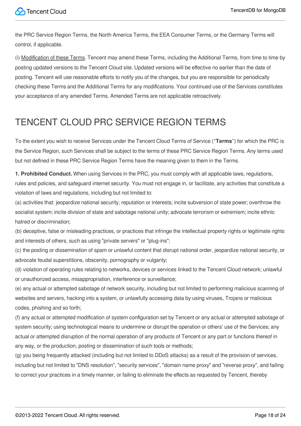the PRC Service Region Terms, the North America Terms, the EEA Consumer Terms, or the Germany Terms will control, if applicable.

(i) Modification of these Terms. Tencent may amend these Terms, including the Additional Terms, from time to time by posting updated versions to the Tencent Cloud site. Updated versions will be effective no earlier than the date of posting. Tencent will use reasonable efforts to notify you of the changes, but you are responsible for periodically checking these Terms and the Additional Terms for any modifications. Your continued use of the Services constitutes your acceptance of any amended Terms. Amended Terms are not applicable retroactively.

# TENCENT CLOUD PRC SERVICE REGION TERMS

To the extent you wish to receive Services under the Tencent Cloud Terms of Service ("**Terms**") for which the PRC is the Service Region, such Services shall be subject to the terms of these PRC Service Region Terms. Any terms used but not defined in these PRC Service Region Terms have the meaning given to them in the Terms.

**1. Prohibited Conduct.** When using Services in the PRC, you must comply with all applicable laws, regulations, rules and policies, and safeguard internet security. You must not engage in, or facilitate, any activities that constitute a violation of laws and regulations, including but not limited to:

(a) activities that: jeopardize national security, reputation or interests; incite subversion of state power; overthrow the socialist system; incite division of state and sabotage national unity; advocate terrorism or extremism; incite ethnic hatred or discrimination;

(b) deceptive, false or misleading practices, or practices that infringe the intellectual property rights or legitimate rights and interests of others, such as using "private servers" or "plug-ins";

(c) the posting or dissemination of spam or unlawful content that disrupt national order, jeopardize national security, or advocate feudal superstitions, obscenity, pornography or vulgarity;

(d) violation of operating rules relating to networks, devices or services linked to the Tencent Cloud network; unlawful or unauthorized access, misappropriation, interference or surveillance;

(e) any actual or attempted sabotage of network security, including but not limited to performing malicious scanning of websites and servers, hacking into a system, or unlawfully accessing data by using viruses, Trojans or malicious codes, phishing and so forth;

(f) any actual or attempted modification of system configuration set by Tencent or any actual or attempted sabotage of system security; using technological means to undermine or disrupt the operation or others' use of the Services; any actual or attempted disruption of the normal operation of any products of Tencent or any part or functions thereof in any way, or the production, posting or dissemination of such tools or methods;

(g) you being frequently attacked (including but not limited to DDoS attacks) as a result of the provision of services, including but not limited to "DNS resolution", "security services", "domain name proxy" and "reverse proxy", and failing to correct your practices in a timely manner, or failing to eliminate the effects as requested by Tencent, thereby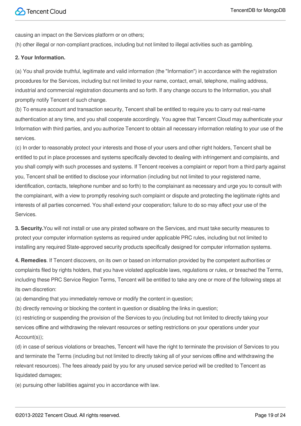causing an impact on the Services platform or on others;

(h) other illegal or non-compliant practices, including but not limited to illegal activities such as gambling.

#### **2. Your Information.**

(a) You shall provide truthful, legitimate and valid information (the "Information") in accordance with the registration procedures for the Services, including but not limited to your name, contact, email, telephone, mailing address, industrial and commercial registration documents and so forth. If any change occurs to the Information, you shall promptly notify Tencent of such change.

(b) To ensure account and transaction security, Tencent shall be entitled to require you to carry out real-name authentication at any time, and you shall cooperate accordingly. You agree that Tencent Cloud may authenticate your Information with third parties, and you authorize Tencent to obtain all necessary information relating to your use of the services.

(c) In order to reasonably protect your interests and those of your users and other right holders, Tencent shall be entitled to put in place processes and systems specifically devoted to dealing with infringement and complaints, and you shall comply with such processes and systems. If Tencent receives a complaint or report from a third party against you, Tencent shall be entitled to disclose your information (including but not limited to your registered name, identification, contacts, telephone number and so forth) to the complainant as necessary and urge you to consult with the complainant, with a view to promptly resolving such complaint or dispute and protecting the legitimate rights and interests of all parties concerned. You shall extend your cooperation; failure to do so may affect your use of the Services.

**3. Security.**You will not install or use any pirated software on the Services, and must take security measures to protect your computer information systems as required under applicable PRC rules, including but not limited to installing any required State-approved security products specifically designed for computer information systems.

**4. Remedies**. If Tencent discovers, on its own or based on information provided by the competent authorities or complaints filed by rights holders, that you have violated applicable laws, regulations or rules, or breached the Terms, including these PRC Service Region Terms, Tencent will be entitled to take any one or more of the following steps at its own discretion:

(a) demanding that you immediately remove or modify the content in question;

(b) directly removing or blocking the content in question or disabling the links in question;

(c) restricting or suspending the provision of the Services to you (including but not limited to directly taking your services offline and withdrawing the relevant resources or setting restrictions on your operations under your Account(s));

(d) in case of serious violations or breaches, Tencent will have the right to terminate the provision of Services to you and terminate the Terms (including but not limited to directly taking all of your services offline and withdrawing the relevant resources). The fees already paid by you for any unused service period will be credited to Tencent as liquidated damages;

(e) pursuing other liabilities against you in accordance with law.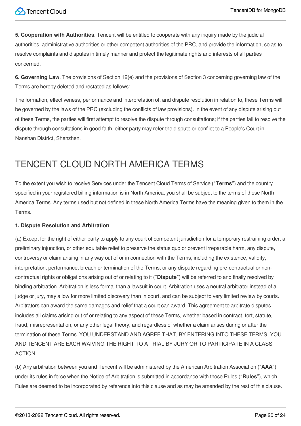**5. Cooperation with Authorities**. Tencent will be entitled to cooperate with any inquiry made by the judicial authorities, administrative authorities or other competent authorities of the PRC, and provide the information, so as to resolve complaints and disputes in timely manner and protect the legitimate rights and interests of all parties concerned.

**6. Governing Law**. The provisions of Section 12(e) and the provisions of Section 3 concerning governing law of the Terms are hereby deleted and restated as follows:

The formation, effectiveness, performance and interpretation of, and dispute resolution in relation to, these Terms will be governed by the laws of the PRC (excluding the conflicts of law provisions). In the event of any dispute arising out of these Terms, the parties will first attempt to resolve the dispute through consultations; if the parties fail to resolve the dispute through consultations in good faith, either party may refer the dispute or conflict to a People's Court in Nanshan District, Shenzhen.

# TENCENT CLOUD NORTH AMERICA TERMS

To the extent you wish to receive Services under the Tencent Cloud Terms of Service ("**Terms**") and the country specified in your registered billing information is in North America, you shall be subject to the terms of these North America Terms. Any terms used but not defined in these North America Terms have the meaning given to them in the Terms.

#### **1. Dispute Resolution and Arbitration**

(a) Except for the right of either party to apply to any court of competent jurisdiction for a temporary restraining order, a preliminary injunction, or other equitable relief to preserve the status quo or prevent irreparable harm, any dispute, controversy or claim arising in any way out of or in connection with the Terms, including the existence, validity, interpretation, performance, breach or termination of the Terms, or any dispute regarding pre-contractual or noncontractual rights or obligations arising out of or relating to it ("**Dispute**") will be referred to and finally resolved by binding arbitration. Arbitration is less formal than a lawsuit in court. Arbitration uses a neutral arbitrator instead of a judge or jury, may allow for more limited discovery than in court, and can be subject to very limited review by courts. Arbitrators can award the same damages and relief that a court can award. This agreement to arbitrate disputes includes all claims arising out of or relating to any aspect of these Terms, whether based in contract, tort, statute, fraud, misrepresentation, or any other legal theory, and regardless of whether a claim arises during or after the termination of these Terms. YOU UNDERSTAND AND AGREE THAT, BY ENTERING INTO THESE TERMS, YOU AND TENCENT ARE EACH WAIVING THE RIGHT TO A TRIAL BY JURY OR TO PARTICIPATE IN A CLASS ACTION.

(b) Any arbitration between you and Tencent will be administered by the American Arbitration Association ("**AAA**") under its rules in force when the Notice of Arbitration is submitted in accordance with those Rules ("**Rules**"), which Rules are deemed to be incorporated by reference into this clause and as may be amended by the rest of this clause.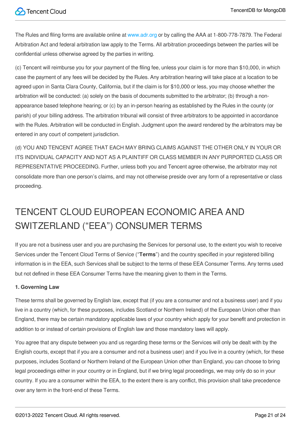The Rules and filing forms are available online at [www.adr.org](http://www.adr.org/) or by calling the AAA at 1-800-778-7879. The Federal Arbitration Act and federal arbitration law apply to the Terms. All arbitration proceedings between the parties will be confidential unless otherwise agreed by the parties in writing.

(c) Tencent will reimburse you for your payment of the filing fee, unless your claim is for more than \$10,000, in which case the payment of any fees will be decided by the Rules. Any arbitration hearing will take place at a location to be agreed upon in Santa Clara County, California, but if the claim is for \$10,000 or less, you may choose whether the arbitration will be conducted: (a) solely on the basis of documents submitted to the arbitrator; (b) through a nonappearance based telephone hearing; or (c) by an in-person hearing as established by the Rules in the county (or parish) of your billing address. The arbitration tribunal will consist of three arbitrators to be appointed in accordance with the Rules. Arbitration will be conducted in English. Judgment upon the award rendered by the arbitrators may be entered in any court of competent jurisdiction.

(d) YOU AND TENCENT AGREE THAT EACH MAY BRING CLAIMS AGAINST THE OTHER ONLY IN YOUR OR ITS INDIVIDUAL CAPACITY AND NOT AS A PLAINTIFF OR CLASS MEMBER IN ANY PURPORTED CLASS OR REPRESENTATIVE PROCEEDING. Further, unless both you and Tencent agree otherwise, the arbitrator may not consolidate more than one person's claims, and may not otherwise preside over any form of a representative or class proceeding.

# TENCENT CLOUD EUROPEAN ECONOMIC AREA AND SWITZERLAND ("EEA") CONSUMER TERMS

If you are not a business user and you are purchasing the Services for personal use, to the extent you wish to receive Services under the Tencent Cloud Terms of Service ("**Terms**") and the country specified in your registered billing information is in the EEA, such Services shall be subject to the terms of these EEA Consumer Terms. Any terms used but not defined in these EEA Consumer Terms have the meaning given to them in the Terms.

#### **1. Governing Law**

These terms shall be governed by English law, except that (if you are a consumer and not a business user) and if you live in a country (which, for these purposes, includes Scotland or Northern Ireland) of the European Union other than England, there may be certain mandatory applicable laws of your country which apply for your benefit and protection in addition to or instead of certain provisions of English law and those mandatory laws will apply.

You agree that any dispute between you and us regarding these terms or the Services will only be dealt with by the English courts, except that if you are a consumer and not a business user) and if you live in a country (which, for these purposes, includes Scotland or Northern Ireland of the European Union other than England, you can choose to bring legal proceedings either in your country or in England, but if we bring legal proceedings, we may only do so in your country. If you are a consumer within the EEA, to the extent there is any conflict, this provision shall take precedence over any term in the front-end of these Terms.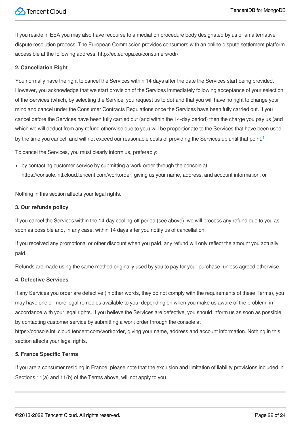If you reside in EEA you may also have recourse to a mediation procedure body designated by us or an alternative dispute resolution process. The European Commission provides consumers with an online dispute settlement platform accessible at the following address: http://ec.europa.eu/consumers/odr/.

#### **2. Cancellation Right**

You normally have the right to cancel the Services within 14 days after the date the Services start being provided. However, you acknowledge that we start provision of the Services immediately following acceptance of your selection of the Services (which, by selecting the Service, you request us to do) and that you will have no right to change your mind and cancel under the Consumer Contracts Regulations once the Services have been fully carried out. If you cancel before the Services have been fully carried out (and within the 14-day period) then the charge you pay us (and which we will deduct from any refund otherwise due to you) will be proportionate to the Services that have been used by the time you cancel, and will not exceed our reasonable costs of providing the Services up until that point.<sup>[1](#page-22-0)</sup>

To cancel the Services, you must clearly inform us, preferably:

by contacting customer service by submitting a work order through the console at https://console.intl.cloud.tencent.com/workorder, giving us your name, address, and account information; or

Nothing in this section affects your legal rights.

#### **3. Our refunds policy**

If you cancel the Services within the 14-day cooling-off period (see above), we will process any refund due to you as soon as possible and, in any case, within 14 days after you notify us of cancellation.

If you received any promotional or other discount when you paid, any refund will only reflect the amount you actually paid.

Refunds are made using the same method originally used by you to pay for your purchase, unless agreed otherwise.

#### **4. Defective Services**

If any Services you order are defective (in other words, they do not comply with the requirements of these Terms), you may have one or more legal remedies available to you, depending on when you make us aware of the problem, in accordance with your legal rights. If you believe the Services are defective, you should inform us as soon as possible by contacting customer service by submitting a work order through the console at https://console.intl.cloud.tencent.com/workorder, giving your name, address and account information. Nothing in this section affects your legal rights.

#### **5. France Specific Terms**

If you are a consumer residing in France, please note that the exclusion and limitation of liability provisions included in Sections 11(a) and 11(b) of the Terms above, will not apply to you.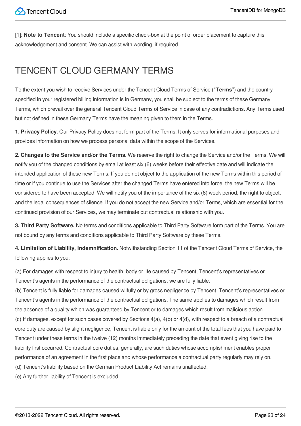<span id="page-22-0"></span>[1]: **Note to Tencent**: You should include a specific check-box at the point of order placement to capture this acknowledgement and consent. We can assist with wording, if required.

# TENCENT CLOUD GERMANY TERMS

To the extent you wish to receive Services under the Tencent Cloud Terms of Service ("**Terms**") and the country specified in your registered billing information is in Germany, you shall be subject to the terms of these Germany Terms, which prevail over the general Tencent Cloud Terms of Service in case of any contradictions. Any Terms used but not defined in these Germany Terms have the meaning given to them in the Terms.

**1. Privacy Policy.** Our Privacy Policy does not form part of the Terms. It only serves for informational purposes and provides information on how we process personal data within the scope of the Services.

**2. Changes to the Service and/or the Terms.** We reserve the right to change the Service and/or the Terms. We will notify you of the changed conditions by email at least six (6) weeks before their effective date and will indicate the intended application of these new Terms. If you do not object to the application of the new Terms within this period of time or if you continue to use the Services after the changed Terms have entered into force, the new Terms will be considered to have been accepted. We will notify you of the importance of the six (6) week period, the right to object, and the legal consequences of silence. If you do not accept the new Service and/or Terms, which are essential for the continued provision of our Services, we may terminate out contractual relationship with you.

**3. Third Party Software.** No terms and conditions applicable to Third Party Software form part of the Terms. You are not bound by any terms and conditions applicable to Third Party Software by these Terms.

**4. Limitation of Liability, Indemnification.** Notwithstanding Section 11 of the Tencent Cloud Terms of Service, the following applies to you:

(a) For damages with respect to injury to health, body or life caused by Tencent, Tencent's representatives or Tencent's agents in the performance of the contractual obligations, we are fully liable.

(b) Tencent is fully liable for damages caused wilfully or by gross negligence by Tencent, Tencent's representatives or Tencent's agents in the performance of the contractual obligations. The same applies to damages which result from the absence of a quality which was guaranteed by Tencent or to damages which result from malicious action.  $(c)$  If damages, except for such cases covered by Sections  $4(a)$ ,  $4(b)$  or  $4(d)$ , with respect to a breach of a contractual core duty are caused by slight negligence, Tencent is liable only for the amount of the total fees that you have paid to Tencent under these terms in the twelve (12) months immediately preceding the date that event giving rise to the liability first occurred. Contractual core duties, generally, are such duties whose accomplishment enables proper performance of an agreement in the first place and whose performance a contractual party regularly may rely on. (d) Tencent's liability based on the German Product Liability Act remains unaffected.

(e) Any further liability of Tencent is excluded.